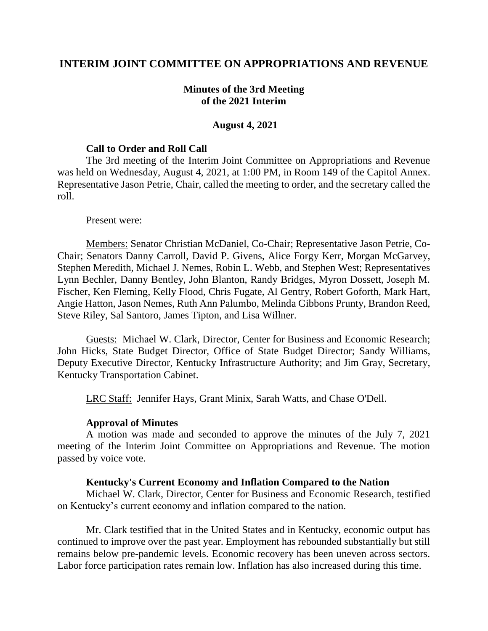## **INTERIM JOINT COMMITTEE ON APPROPRIATIONS AND REVENUE**

### **Minutes of the 3rd Meeting of the 2021 Interim**

#### **August 4, 2021**

#### **Call to Order and Roll Call**

The 3rd meeting of the Interim Joint Committee on Appropriations and Revenue was held on Wednesday, August 4, 2021, at 1:00 PM, in Room 149 of the Capitol Annex. Representative Jason Petrie, Chair, called the meeting to order, and the secretary called the roll.

#### Present were:

Members: Senator Christian McDaniel, Co-Chair; Representative Jason Petrie, Co-Chair; Senators Danny Carroll, David P. Givens, Alice Forgy Kerr, Morgan McGarvey, Stephen Meredith, Michael J. Nemes, Robin L. Webb, and Stephen West; Representatives Lynn Bechler, Danny Bentley, John Blanton, Randy Bridges, Myron Dossett, Joseph M. Fischer, Ken Fleming, Kelly Flood, Chris Fugate, Al Gentry, Robert Goforth, Mark Hart, Angie Hatton, Jason Nemes, Ruth Ann Palumbo, Melinda Gibbons Prunty, Brandon Reed, Steve Riley, Sal Santoro, James Tipton, and Lisa Willner.

Guests: Michael W. Clark, Director, Center for Business and Economic Research; John Hicks, State Budget Director, Office of State Budget Director; Sandy Williams, Deputy Executive Director, Kentucky Infrastructure Authority; and Jim Gray, Secretary, Kentucky Transportation Cabinet.

LRC Staff: Jennifer Hays, Grant Minix, Sarah Watts, and Chase O'Dell.

#### **Approval of Minutes**

A motion was made and seconded to approve the minutes of the July 7, 2021 meeting of the Interim Joint Committee on Appropriations and Revenue. The motion passed by voice vote.

#### **Kentucky's Current Economy and Inflation Compared to the Nation**

Michael W. Clark, Director, Center for Business and Economic Research, testified on Kentucky's current economy and inflation compared to the nation.

Mr. Clark testified that in the United States and in Kentucky, economic output has continued to improve over the past year. Employment has rebounded substantially but still remains below pre-pandemic levels. Economic recovery has been uneven across sectors. Labor force participation rates remain low. Inflation has also increased during this time.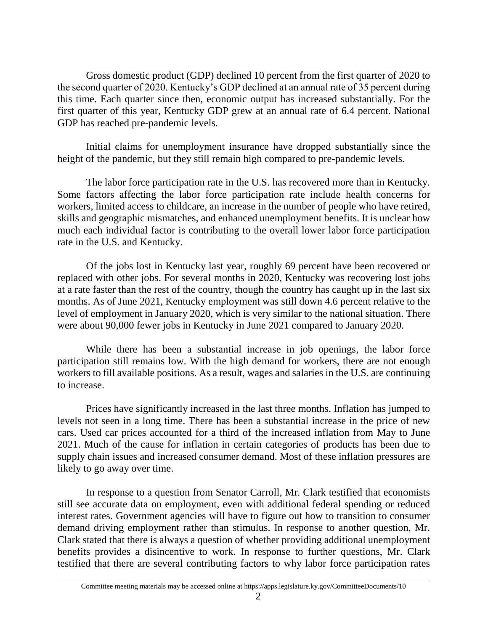Gross domestic product (GDP) declined 10 percent from the first quarter of 2020 to the second quarter of 2020. Kentucky's GDP declined at an annual rate of 35 percent during this time. Each quarter since then, economic output has increased substantially. For the first quarter of this year, Kentucky GDP grew at an annual rate of 6.4 percent. National GDP has reached pre-pandemic levels.

Initial claims for unemployment insurance have dropped substantially since the height of the pandemic, but they still remain high compared to pre-pandemic levels.

The labor force participation rate in the U.S. has recovered more than in Kentucky. Some factors affecting the labor force participation rate include health concerns for workers, limited access to childcare, an increase in the number of people who have retired, skills and geographic mismatches, and enhanced unemployment benefits. It is unclear how much each individual factor is contributing to the overall lower labor force participation rate in the U.S. and Kentucky.

Of the jobs lost in Kentucky last year, roughly 69 percent have been recovered or replaced with other jobs. For several months in 2020, Kentucky was recovering lost jobs at a rate faster than the rest of the country, though the country has caught up in the last six months. As of June 2021, Kentucky employment was still down 4.6 percent relative to the level of employment in January 2020, which is very similar to the national situation. There were about 90,000 fewer jobs in Kentucky in June 2021 compared to January 2020.

While there has been a substantial increase in job openings, the labor force participation still remains low. With the high demand for workers, there are not enough workers to fill available positions. As a result, wages and salaries in the U.S. are continuing to increase.

Prices have significantly increased in the last three months. Inflation has jumped to levels not seen in a long time. There has been a substantial increase in the price of new cars. Used car prices accounted for a third of the increased inflation from May to June 2021. Much of the cause for inflation in certain categories of products has been due to supply chain issues and increased consumer demand. Most of these inflation pressures are likely to go away over time.

In response to a question from Senator Carroll, Mr. Clark testified that economists still see accurate data on employment, even with additional federal spending or reduced interest rates. Government agencies will have to figure out how to transition to consumer demand driving employment rather than stimulus. In response to another question, Mr. Clark stated that there is always a question of whether providing additional unemployment benefits provides a disincentive to work. In response to further questions, Mr. Clark testified that there are several contributing factors to why labor force participation rates

Committee meeting materials may be accessed online at https://apps.legislature.ky.gov/CommitteeDocuments/10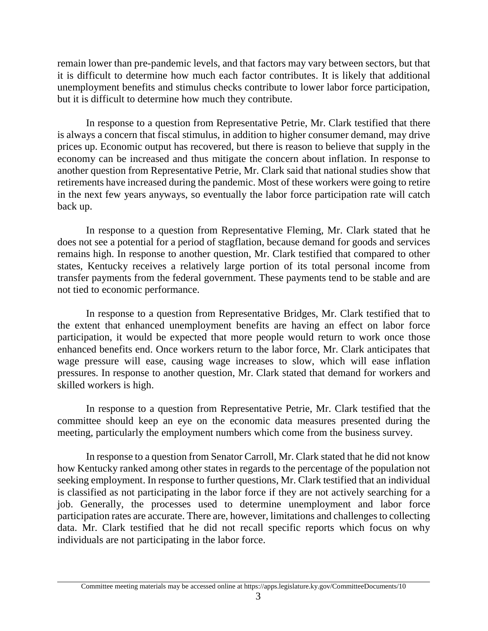remain lower than pre-pandemic levels, and that factors may vary between sectors, but that it is difficult to determine how much each factor contributes. It is likely that additional unemployment benefits and stimulus checks contribute to lower labor force participation, but it is difficult to determine how much they contribute.

In response to a question from Representative Petrie, Mr. Clark testified that there is always a concern that fiscal stimulus, in addition to higher consumer demand, may drive prices up. Economic output has recovered, but there is reason to believe that supply in the economy can be increased and thus mitigate the concern about inflation. In response to another question from Representative Petrie, Mr. Clark said that national studies show that retirements have increased during the pandemic. Most of these workers were going to retire in the next few years anyways, so eventually the labor force participation rate will catch back up.

In response to a question from Representative Fleming, Mr. Clark stated that he does not see a potential for a period of stagflation, because demand for goods and services remains high. In response to another question, Mr. Clark testified that compared to other states, Kentucky receives a relatively large portion of its total personal income from transfer payments from the federal government. These payments tend to be stable and are not tied to economic performance.

In response to a question from Representative Bridges, Mr. Clark testified that to the extent that enhanced unemployment benefits are having an effect on labor force participation, it would be expected that more people would return to work once those enhanced benefits end. Once workers return to the labor force, Mr. Clark anticipates that wage pressure will ease, causing wage increases to slow, which will ease inflation pressures. In response to another question, Mr. Clark stated that demand for workers and skilled workers is high.

In response to a question from Representative Petrie, Mr. Clark testified that the committee should keep an eye on the economic data measures presented during the meeting, particularly the employment numbers which come from the business survey.

In response to a question from Senator Carroll, Mr. Clark stated that he did not know how Kentucky ranked among other states in regards to the percentage of the population not seeking employment. In response to further questions, Mr. Clark testified that an individual is classified as not participating in the labor force if they are not actively searching for a job. Generally, the processes used to determine unemployment and labor force participation rates are accurate. There are, however, limitations and challenges to collecting data. Mr. Clark testified that he did not recall specific reports which focus on why individuals are not participating in the labor force.

Committee meeting materials may be accessed online at https://apps.legislature.ky.gov/CommitteeDocuments/10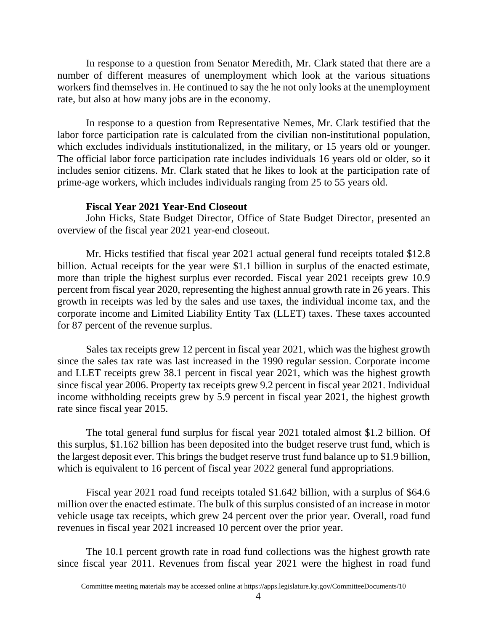In response to a question from Senator Meredith, Mr. Clark stated that there are a number of different measures of unemployment which look at the various situations workers find themselves in. He continued to say the he not only looks at the unemployment rate, but also at how many jobs are in the economy.

In response to a question from Representative Nemes, Mr. Clark testified that the labor force participation rate is calculated from the civilian non-institutional population, which excludes individuals institutionalized, in the military, or 15 years old or younger. The official labor force participation rate includes individuals 16 years old or older, so it includes senior citizens. Mr. Clark stated that he likes to look at the participation rate of prime-age workers, which includes individuals ranging from 25 to 55 years old.

# **Fiscal Year 2021 Year-End Closeout**

John Hicks, State Budget Director, Office of State Budget Director, presented an overview of the fiscal year 2021 year-end closeout.

Mr. Hicks testified that fiscal year 2021 actual general fund receipts totaled \$12.8 billion. Actual receipts for the year were \$1.1 billion in surplus of the enacted estimate, more than triple the highest surplus ever recorded. Fiscal year 2021 receipts grew 10.9 percent from fiscal year 2020, representing the highest annual growth rate in 26 years. This growth in receipts was led by the sales and use taxes, the individual income tax, and the corporate income and Limited Liability Entity Tax (LLET) taxes. These taxes accounted for 87 percent of the revenue surplus.

Sales tax receipts grew 12 percent in fiscal year 2021, which was the highest growth since the sales tax rate was last increased in the 1990 regular session. Corporate income and LLET receipts grew 38.1 percent in fiscal year 2021, which was the highest growth since fiscal year 2006. Property tax receipts grew 9.2 percent in fiscal year 2021. Individual income withholding receipts grew by 5.9 percent in fiscal year 2021, the highest growth rate since fiscal year 2015.

The total general fund surplus for fiscal year 2021 totaled almost \$1.2 billion. Of this surplus, \$1.162 billion has been deposited into the budget reserve trust fund, which is the largest deposit ever. This brings the budget reserve trust fund balance up to \$1.9 billion, which is equivalent to 16 percent of fiscal year 2022 general fund appropriations.

Fiscal year 2021 road fund receipts totaled \$1.642 billion, with a surplus of \$64.6 million over the enacted estimate. The bulk of this surplus consisted of an increase in motor vehicle usage tax receipts, which grew 24 percent over the prior year. Overall, road fund revenues in fiscal year 2021 increased 10 percent over the prior year.

The 10.1 percent growth rate in road fund collections was the highest growth rate since fiscal year 2011. Revenues from fiscal year 2021 were the highest in road fund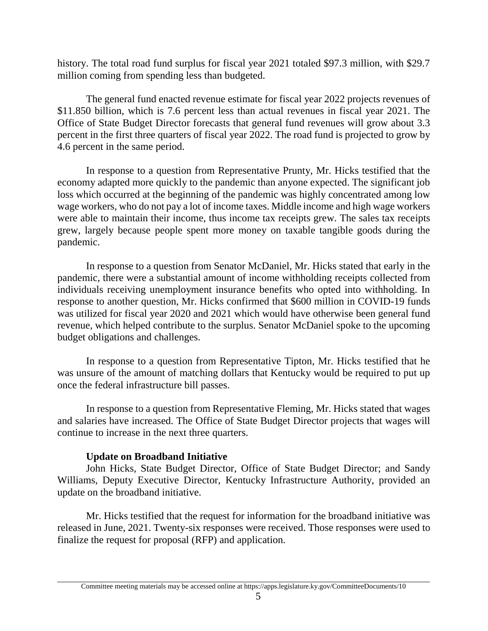history. The total road fund surplus for fiscal year 2021 totaled \$97.3 million, with \$29.7 million coming from spending less than budgeted.

The general fund enacted revenue estimate for fiscal year 2022 projects revenues of \$11.850 billion, which is 7.6 percent less than actual revenues in fiscal year 2021. The Office of State Budget Director forecasts that general fund revenues will grow about 3.3 percent in the first three quarters of fiscal year 2022. The road fund is projected to grow by 4.6 percent in the same period.

In response to a question from Representative Prunty, Mr. Hicks testified that the economy adapted more quickly to the pandemic than anyone expected. The significant job loss which occurred at the beginning of the pandemic was highly concentrated among low wage workers, who do not pay a lot of income taxes. Middle income and high wage workers were able to maintain their income, thus income tax receipts grew. The sales tax receipts grew, largely because people spent more money on taxable tangible goods during the pandemic.

In response to a question from Senator McDaniel, Mr. Hicks stated that early in the pandemic, there were a substantial amount of income withholding receipts collected from individuals receiving unemployment insurance benefits who opted into withholding. In response to another question, Mr. Hicks confirmed that \$600 million in COVID-19 funds was utilized for fiscal year 2020 and 2021 which would have otherwise been general fund revenue, which helped contribute to the surplus. Senator McDaniel spoke to the upcoming budget obligations and challenges.

In response to a question from Representative Tipton, Mr. Hicks testified that he was unsure of the amount of matching dollars that Kentucky would be required to put up once the federal infrastructure bill passes.

In response to a question from Representative Fleming, Mr. Hicks stated that wages and salaries have increased. The Office of State Budget Director projects that wages will continue to increase in the next three quarters.

## **Update on Broadband Initiative**

John Hicks, State Budget Director, Office of State Budget Director; and Sandy Williams, Deputy Executive Director, Kentucky Infrastructure Authority, provided an update on the broadband initiative.

Mr. Hicks testified that the request for information for the broadband initiative was released in June, 2021. Twenty-six responses were received. Those responses were used to finalize the request for proposal (RFP) and application.